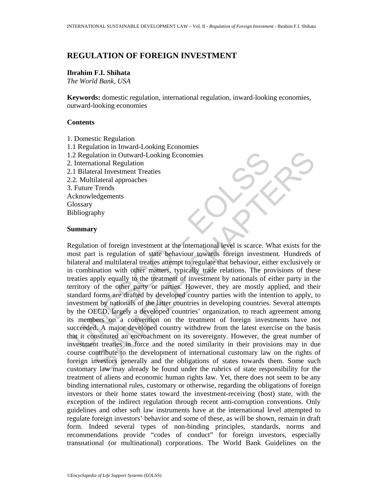# **REGULATION OF FOREIGN INVESTMENT**

## **Ibrahim F.I. Shihata**

*The World Bank, USA* 

**Keywords:** domestic regulation, international regulation, inward-looking economies, outward-looking economies

#### **Contents**

1. Domestic Regulation 1.1 Regulation in Inward-Looking Economies 1.2 Regulation in Outward-Looking Economies 2. International Regulation 2.1 Bilateral Investment Treaties 2.2. Multilateral approaches 3. Future Trends Acknowledgements **Glossary** Bibliography

#### **Summary**

2 Regulation in Outward-Looking Economies<br>
1. Bilateral Investment Treaties<br>
2. Multilateral approaches<br>
2. Multilateral approaches<br>
Future Trends<br>
cknowledgements<br>
Euture Trends<br>
cknowledgements<br>
Universe Trends<br>
cknowled ation in Outward-Looking Economies<br>
arial Investment Treaties<br>
Firal Investment Treaties<br>
Firal Investment Treaties<br>
Elad approaches<br>
Elad approaches<br>
Elad approaches<br>
Investments<br>
Investments<br>
degements<br>
to it is regulati Regulation of foreign investment at the international level is scarce. What exists for the most part is regulation of state behaviour towards foreign investment. Hundreds of bilateral and multilateral treaties attempt to regulate that behaviour, either exclusively or in combination with other matters, typically trade relations. The provisions of these treaties apply equally to the treatment of investment by nationals of either party in the territory of the other party or parties. However, they are mostly applied, and their standard forms are drafted by developed country parties with the intention to apply, to investment by nationals of the latter countries in developing countries. Several attempts by the OECD, largely a developed countries' organization, to reach agreement among its members on a convention on the treatment of foreign investments have not succeeded. A major developed country withdrew from the latest exercise on the basis that it constituted an encroachment on its sovereignty. However, the great number of investment treaties in force and the noted similarity in their provisions may in due course contribute to the development of international customary law on the rights of foreign investors generally and the obligations of states towards them. Some such customary law may already be found under the rubrics of state responsibility for the treatment of aliens and economic human rights law. Yet, there does not seem to be any binding international rules, customary or otherwise, regarding the obligations of foreign investors or their home states toward the investment-receiving (host) state, with the exception of the indirect regulation through recent anti-corruption conventions. Only guidelines and other soft law instruments have at the international level attempted to regulate foreign investors' behavior and some of these, as will be shown, remain in draft form. Indeed several types of non-binding principles, standards, norms and recommendations provide "codes of conduct" for foreign investors, especially transnational (or multinational) corporations. The World Bank Guidelines on the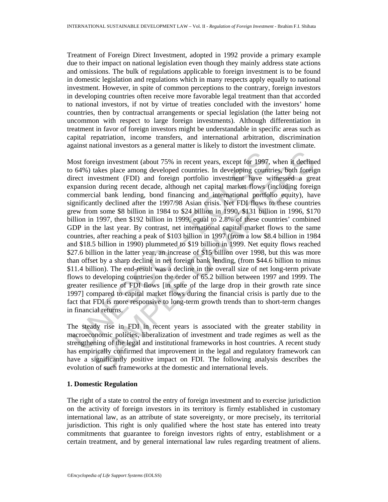Treatment of Foreign Direct Investment, adopted in 1992 provide a primary example due to their impact on national legislation even though they mainly address state actions and omissions. The bulk of regulations applicable to foreign investment is to be found in domestic legislation and regulations which in many respects apply equally to national investment. However, in spite of common perceptions to the contrary, foreign investors in developing countries often receive more favorable legal treatment than that accorded to national investors, if not by virtue of treaties concluded with the investors' home countries, then by contractual arrangements or special legislation (the latter being not uncommon with respect to large foreign investments). Although differentiation in treatment in favor of foreign investors might be understandable in specific areas such as capital repatriation, income transfers, and international arbitration, discrimination against national investors as a general matter is likely to distort the investment climate.

lost foreign investment (about 75% in recent years, except for 1997, 04%) takes place among developed countries. In developing count<br>irect investment (FDI) and foreign portfolio investment have wy<br>pansion during recent dec eign investment (about 75% in recent years, except for 1997, when it decline<br>takes place among developed countries. In developing countries, both foreign<br>vestment (FDI) and foreign portfolio investment have winessed a gree Most foreign investment (about 75% in recent years, except for 1997, when it declined to 64%) takes place among developed countries. In developing countries, both foreign direct investment (FDI) and foreign portfolio investment have witnessed a great expansion during recent decade, although net capital market flows (including foreign commercial bank lending, bond financing and international portfolio equity), have significantly declined after the 1997/98 Asian crisis. Net FDI flows to these countries grew from some \$8 billion in 1984 to \$24 billion in 1990, \$131 billion in 1996, \$170 billion in 1997, then \$192 billion in 1999, equal to 2.8% of these countries' combined GDP in the last year. By contrast, net international capital market flows to the same countries, after reaching a peak of \$103 billion in 1997 (from a low \$8.4 billion in 1984 and \$18.5 billion in 1990) plummeted to \$19 billion in 1999. Net equity flows reached \$27.6 billion in the latter year, an increase of \$15 billion over 1998, but this was more than offset by a sharp decline in net foreign bank lending, (from \$44.6 billion to minus \$11.4 billion). The end-result was a decline in the overall size of net long-term private flows to developing countries on the order of 65.2 billion between 1997 and 1999. The greater resilience of FDI flows [in spite of the large drop in their growth rate since 1997] compared to capital market flows during the financial crisis is partly due to the fact that FDI is more responsive to long-term growth trends than to short-term changes in financial returns.

The steady rise in FDI in recent years is associated with the greater stability in macroeconomic policies, liberalization of investment and trade regimes as well as the strengthening of the legal and institutional frameworks in host countries. A recent study has empirically confirmed that improvement in the legal and regulatory framework can have a significantly positive impact on FDI. The following analysis describes the evolution of such frameworks at the domestic and international levels.

#### **1. Domestic Regulation**

The right of a state to control the entry of foreign investment and to exercise jurisdiction on the activity of foreign investors in its territory is firmly established in customary international law, as an attribute of state sovereignty, or more precisely, its territorial jurisdiction. This right is only qualified where the host state has entered into treaty commitments that guarantee to foreign investors rights of entry, establishment or a certain treatment, and by general international law rules regarding treatment of aliens.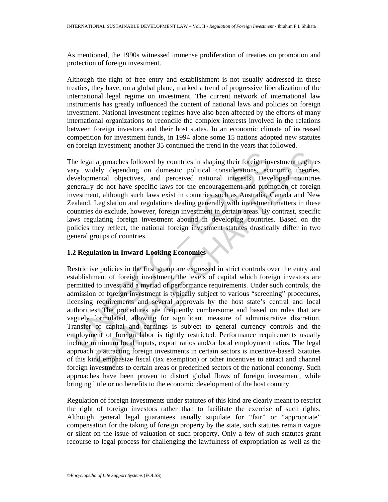As mentioned, the 1990s witnessed immense proliferation of treaties on promotion and protection of foreign investment.

Although the right of free entry and establishment is not usually addressed in these treaties, they have, on a global plane, marked a trend of progressive liberalization of the international legal regime on investment. The current network of international law instruments has greatly influenced the content of national laws and policies on foreign investment. National investment regimes have also been affected by the efforts of many international organizations to reconcile the complex interests involved in the relations between foreign investors and their host states. In an economic climate of increased competition for investment funds, in 1994 alone some 15 nations adopted new statutes on foreign investment; another 35 continued the trend in the years that followed.

The legal approaches followed by countries in shaping their foreign investment regimes vary widely depending on domestic political considerations, economic theories, developmental objectives, and perceived national interests. Developed countries generally do not have specific laws for the encouragement and promotion of foreign investment, although such laws exist in countries such as Australia, Canada and New Zealand. Legislation and regulations dealing generally with investment matters in these countries do exclude, however, foreign investment in certain areas. By contrast, specific laws regulating foreign investment abound in developing countries. Based on the policies they reflect, the national foreign investment statutes drastically differ in two general groups of countries.

### **1.2 Regulation in Inward-Looking Economies**

the legal approaches followed by countries in shaping their foreign in<br>ary widely depending on domestic political considerations, ecc<br>velopmental objectives, and perceived national interests. Deve<br>senerally do not have spe I approaches followed by countries in shaping their foreign investment regimedely depending on domestic political considerations, economic theories of the move specific laws for the encouragement and promotion of foreign t Restrictive policies in the first group are expressed in strict controls over the entry and establishment of foreign investment, the levels of capital which foreign investors are permitted to invest and a myriad of performance requirements. Under such controls, the admission of foreign investment is typically subject to various "screening" procedures, licensing requirements and several approvals by the host state's central and local authorities. The procedures are frequently cumbersome and based on rules that are vaguely formulated, allowing for significant measure of administrative discretion. Transfer of capital and earnings is subject to general currency controls and the employment of foreign labor is tightly restricted. Performance requirements usually include minimum local inputs, export ratios and/or local employment ratios. The legal approach to attracting foreign investments in certain sectors is incentive-based. Statutes of this kind emphasize fiscal (tax exemption) or other incentives to attract and channel foreign investments to certain areas or predefined sectors of the national economy. Such approaches have been proven to distort global flows of foreign investment, while bringing little or no benefits to the economic development of the host country.

Regulation of foreign investments under statutes of this kind are clearly meant to restrict the right of foreign investors rather than to facilitate the exercise of such rights. Although general legal guarantees usually stipulate for "fair" or "appropriate" compensation for the taking of foreign property by the state, such statutes remain vague or silent on the issue of valuation of such property. Only a few of such statutes grant recourse to legal process for challenging the lawfulness of expropriation as well as the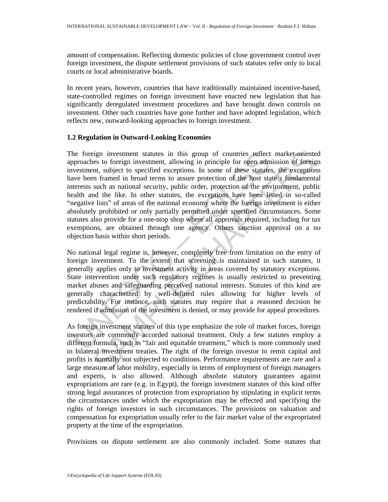amount of compensation. Reflecting domestic policies of close government control over foreign investment, the dispute settlement provisions of such statutes refer only to local courts or local administrative boards.

In recent years, however, countries that have traditionally maintained incentive-based, state-controlled regimes on foreign investment have enacted new legislation that has significantly deregulated investment procedures and have brought down controls on investment. Other such countries have gone further and have adopted legislation, which reflects new, outward-looking approaches to foreign investment.

### **1.2 Regulation in Outward-Looking Economies**

the foreign investment statutes in this group of countries reflect<br>pproaches to foreign investment, allowing in principle for open adm<br>vestment, subject to specified exceptions. In some of these statute<br>ave been framed in ign investment statutes in this group of countries reflect market-orientes<br>est to foreign investment, allowing in principle for open admission of foreign<br>ant, subject to specified exceptions. In some of these statutes, the The foreign investment statutes in this group of countries reflect market-oriented approaches to foreign investment, allowing in principle for open admission of foreign investment, subject to specified exceptions. In some of these statutes, the exceptions have been framed in broad terms to assure protection of the host state's fundamental interests such as national security, public order, protection of the environment, public health and the like. In other statutes, the exceptions have been listed in so-called "negative lists" of areas of the national economy where the foreign investment is either absolutely prohibited or only partially permitted under specified circumstances. Some statutes also provide for a one-stop shop where all approvals required, including for tax exemptions, are obtained through one agency. Others sanction approval on a no objection basis within short periods.

No national legal regime is, however, completely free from limitation on the entry of foreign investment. To the extent that screening is maintained in such statutes, it generally applies only to investment activity in areas covered by statutory exceptions. State intervention under such regulatory regimes is usually restricted to preventing market abuses and safeguarding perceived national interests. Statutes of this kind are generally characterized by well-defined rules allowing for higher levels of predictability. For instance, such statutes may require that a reasoned decision be rendered if admission of the investment is denied, or may provide for appeal procedures.

As foreign investment statutes of this type emphasize the role of market forces, foreign investors are commonly accorded national treatment. Only a few statutes employ a different formula, such as "fair and equitable treatment," which is more commonly used in bilateral investment treaties. The right of the foreign investor to remit capital and profits is normally not subjected to conditions. Performance requirements are rare and a large measure of labor mobility, especially in terms of employment of foreign managers and experts, is also allowed. Although absolute statutory guarantees against expropriations are rare (e.g. in Egypt), the foreign investment statutes of this kind offer strong legal assurances of protection from expropriation by stipulating in explicit terms the circumstances under which the expropriation may be effected and specifying the rights of foreign investors in such circumstances. The provisions on valuation and compensation for expropriation usually refer to the fair market value of the expropriated property at the time of the expropriation.

Provisions on dispute settlement are also commonly included. Some statutes that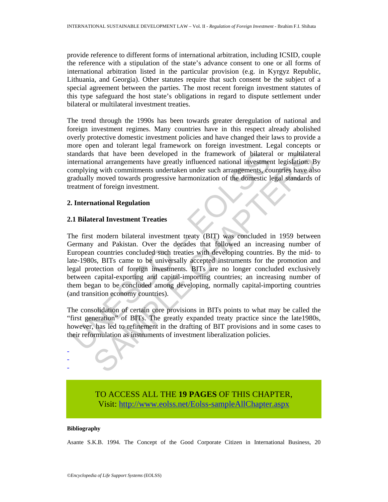provide reference to different forms of international arbitration, including ICSID, couple the reference with a stipulation of the state's advance consent to one or all forms of international arbitration listed in the particular provision (e.g. in Kyrgyz Republic, Lithuania, and Georgia). Other statutes require that such consent be the subject of a special agreement between the parties. The most recent foreign investment statutes of this type safeguard the host state's obligations in regard to dispute settlement under bilateral or multilateral investment treaties.

The trend through the 1990s has been towards greater deregulation of national and foreign investment regimes. Many countries have in this respect already abolished overly protective domestic investment policies and have changed their laws to provide a more open and tolerant legal framework on foreign investment. Legal concepts or standards that have been developed in the framework of bilateral or multilateral international arrangements have greatly influenced national investment legislation. By complying with commitments undertaken under such arrangements, countries have also gradually moved towards progressive harmonization of the domestic legal standards of treatment of foreign investment.

#### **2. International Regulation**

### **2.1 Bilateral Investment Treaties**

andards that have been developed in the framework of bilatera<br>
identicational arrangements have greatly influenced national investment<br>
promplying with committents undertaken under such arrangements, con-<br>
arrangements arr is that have been developed in the framework of bilateral or multilatery<br>and arrangements have greatly influenced national investment legislation. By<br>my util commitments undertaken under such arrangements, countries have a The first modern bilateral investment treaty (BIT) was concluded in 1959 between Germany and Pakistan. Over the decades that followed an increasing number of European countries concluded such treaties with developing countries. By the mid- to late-1980s, BITs came to be universally accepted instruments for the promotion and legal protection of foreign investments. BITs are no longer concluded exclusively between capital-exporting and capital-importing countries; an increasing number of them began to be concluded among developing, normally capital-importing countries (and transition economy countries).

The consolidation of certain core provisions in BITs points to what may be called the "first generation" of BITs. The greatly expanded treaty practice since the late1980s, however, has led to refinement in the drafting of BIT provisions and in some cases to their reformulation as instruments of investment liberalization policies.



#### **Bibliography**

- - -

Asante S.K.B. 1994. The Concept of the Good Corporate Citizen in International Business, 20